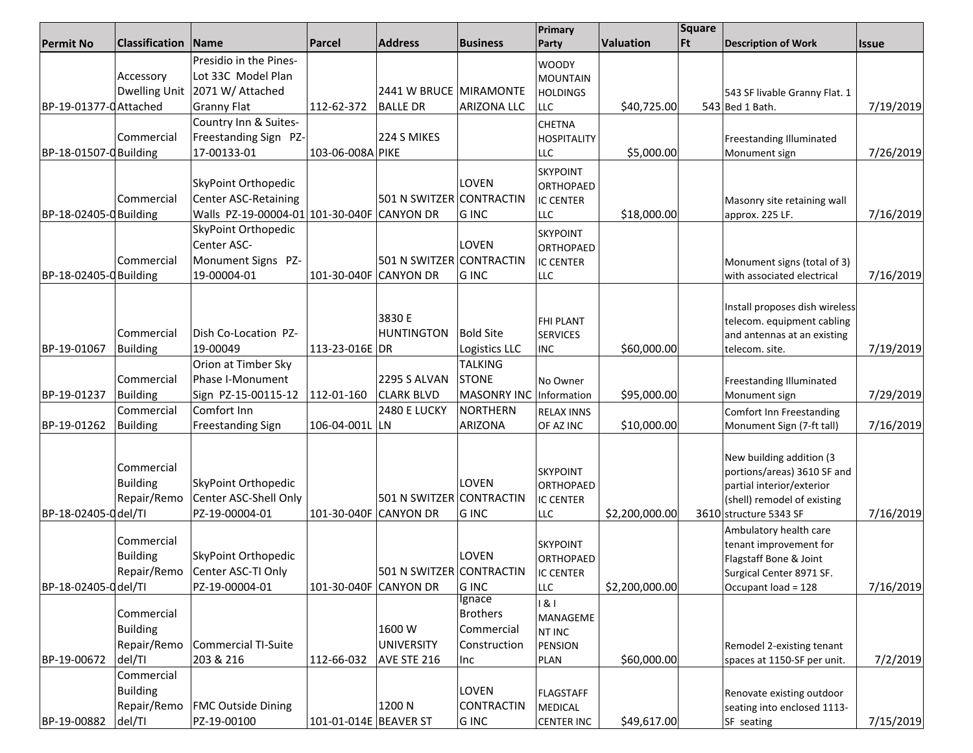|                        |                       | <u>וותוטטרעו וט ווי</u> ט                  | ו טובטווזיט ד בולוויות בוטו |                          | <b>JULIZUIJ</b>    | Primary                            |                | Square    |                                 |              |
|------------------------|-----------------------|--------------------------------------------|-----------------------------|--------------------------|--------------------|------------------------------------|----------------|-----------|---------------------------------|--------------|
| <b>Permit No</b>       | <b>Classification</b> | Name                                       | Parcel                      | <b>Address</b>           | <b>Business</b>    | Party                              | Valuation      | <b>Ft</b> | <b>Description of Work</b>      | <b>Issue</b> |
|                        |                       | Presidio in the Pines-                     |                             |                          |                    |                                    |                |           |                                 |              |
|                        | Accessory             | Lot 33C Model Plan                         |                             |                          |                    | <b>WOODY</b>                       |                |           |                                 |              |
|                        |                       | Dwelling Unit   2071 W/ Attached           |                             | 2441 W BRUCE MIRAMONTE   |                    | <b>MOUNTAIN</b><br><b>HOLDINGS</b> |                |           | 543 SF livable Granny Flat. 1   |              |
| BP-19-01377-0 Attached |                       | <b>Granny Flat</b>                         | 112-62-372                  | <b>BALLE DR</b>          | <b>ARIZONA LLC</b> | LLC                                | \$40,725.00    |           | 543 Bed 1 Bath.                 | 7/19/2019    |
|                        |                       | Country Inn & Suites-                      |                             |                          |                    |                                    |                |           |                                 |              |
|                        |                       |                                            |                             |                          |                    | <b>CHETNA</b>                      |                |           |                                 |              |
|                        | Commercial            | Freestanding Sign PZ-                      |                             | 224 S MIKES              |                    | <b>HOSPITALITY</b>                 |                |           | Freestanding Illuminated        |              |
| BP-18-01507-0 Building |                       | 17-00133-01                                | 103-06-008A PIKE            |                          |                    | <b>LLC</b>                         | \$5,000.00     |           | Monument sign                   | 7/26/2019    |
|                        |                       |                                            |                             |                          |                    | <b>SKYPOINT</b>                    |                |           |                                 |              |
|                        |                       | SkyPoint Orthopedic                        |                             |                          | LOVEN              | ORTHOPAED                          |                |           |                                 |              |
|                        | Commercial            | <b>Center ASC-Retaining</b>                |                             | 501 N SWITZER            | CONTRACTIN         | <b>IC CENTER</b>                   |                |           | Masonry site retaining wall     |              |
| BP-18-02405-0 Building |                       | Walls PZ-19-00004-01 101-30-040F CANYON DR |                             |                          | <b>GINC</b>        | LLC                                | \$18,000.00    |           | approx. 225 LF.                 | 7/16/2019    |
|                        |                       | SkyPoint Orthopedic                        |                             |                          |                    | <b>SKYPOINT</b>                    |                |           |                                 |              |
|                        |                       | Center ASC-                                |                             |                          | LOVEN              | ORTHOPAED                          |                |           |                                 |              |
|                        | Commercial            | Monument Signs PZ-                         |                             | 501 N SWITZER CONTRACTIN |                    | <b>IC CENTER</b>                   |                |           | Monument signs (total of 3)     |              |
| BP-18-02405-0 Building |                       | 19-00004-01                                | 101-30-040F CANYON DR       |                          | <b>GINC</b>        | <b>LLC</b>                         |                |           | with associated electrical      | 7/16/2019    |
|                        |                       |                                            |                             |                          |                    |                                    |                |           |                                 |              |
|                        |                       |                                            |                             |                          |                    |                                    |                |           | Install proposes dish wireless  |              |
|                        |                       |                                            |                             | 3830 E                   |                    | <b>FHI PLANT</b>                   |                |           | telecom. equipment cabling      |              |
|                        | Commercial            | Dish Co-Location PZ-                       |                             | HUNTINGTON               | <b>Bold Site</b>   | <b>SERVICES</b>                    |                |           | and antennas at an existing     |              |
| BP-19-01067            | <b>Building</b>       | 19-00049                                   | 113-23-016E DR              |                          | Logistics LLC      | <b>INC</b>                         | \$60,000.00    |           | telecom. site.                  | 7/19/2019    |
|                        |                       | Orion at Timber Sky                        |                             |                          | <b>TALKING</b>     |                                    |                |           |                                 |              |
|                        | Commercial            | Phase I-Monument                           |                             | <b>2295 S ALVAN</b>      | <b>STONE</b>       | No Owner                           |                |           | Freestanding Illuminated        |              |
| BP-19-01237            | <b>Building</b>       | Sign PZ-15-00115-12                        | 112-01-160                  | <b>CLARK BLVD</b>        | <b>MASONRY INC</b> | Information                        | \$95,000.00    |           | Monument sign                   | 7/29/2019    |
|                        | Commercial            | Comfort Inn                                |                             | <b>2480 E LUCKY</b>      | <b>NORTHERN</b>    | <b>RELAX INNS</b>                  |                |           | <b>Comfort Inn Freestanding</b> |              |
| BP-19-01262            | <b>Building</b>       | <b>Freestanding Sign</b>                   | 106-04-001L LN              |                          | <b>ARIZONA</b>     | OF AZ INC                          | \$10,000.00    |           | Monument Sign (7-ft tall)       | 7/16/2019    |
|                        |                       |                                            |                             |                          |                    |                                    |                |           |                                 |              |
|                        |                       |                                            |                             |                          |                    |                                    |                |           | New building addition (3        |              |
|                        | Commercial            |                                            |                             |                          |                    | <b>SKYPOINT</b>                    |                |           | portions/areas) 3610 SF and     |              |
|                        | <b>Building</b>       | SkyPoint Orthopedic                        |                             |                          | LOVEN              | <b>ORTHOPAED</b>                   |                |           | partial interior/exterior       |              |
|                        | Repair/Remo           | Center ASC-Shell Only                      |                             | 501 N SWITZER            | CONTRACTIN         | <b>IC CENTER</b>                   |                |           | (shell) remodel of existing     |              |
| BP-18-02405-0 del/TI   |                       | PZ-19-00004-01                             | 101-30-040F CANYON DR       |                          | <b>GINC</b>        | <b>LLC</b>                         | \$2,200,000.00 |           | 3610 structure 5343 SF          | 7/16/2019    |
|                        |                       |                                            |                             |                          |                    |                                    |                |           | Ambulatory health care          |              |
|                        | Commercial            |                                            |                             |                          |                    | <b>SKYPOINT</b>                    |                |           | tenant improvement for          |              |
|                        | <b>Building</b>       | SkyPoint Orthopedic                        |                             |                          | LOVEN              | <b>ORTHOPAED</b>                   |                |           | Flagstaff Bone & Joint          |              |
|                        | Repair/Remo           | Center ASC-TI Only                         |                             | 501 N SWITZER CONTRACTIN |                    | <b>IC CENTER</b>                   |                |           | Surgical Center 8971 SF.        |              |
| BP-18-02405-0 del/TI   |                       | PZ-19-00004-01                             | 101-30-040F CANYON DR       |                          | <b>GINC</b>        | <b>LLC</b>                         | \$2,200,000.00 |           | Occupant load = 128             | 7/16/2019    |
|                        |                       |                                            |                             |                          | Ignace             | 1 & I                              |                |           |                                 |              |
|                        | Commercial            |                                            |                             |                          | <b>Brothers</b>    | MANAGEME                           |                |           |                                 |              |
|                        | <b>Building</b>       |                                            |                             | 1600W                    | Commercial         | <b>NT INC</b>                      |                |           |                                 |              |
|                        | Repair/Remo           | Commercial TI-Suite                        |                             | UNIVERSITY               | Construction       | PENSION                            |                |           | Remodel 2-existing tenant       |              |
| BP-19-00672            | del/TI                | 203 & 216                                  | 112-66-032                  | AVE STE 216              | Inc                | <b>PLAN</b>                        | \$60,000.00    |           | spaces at 1150-SF per unit.     | 7/2/2019     |
|                        | Commercial            |                                            |                             |                          |                    |                                    |                |           |                                 |              |
|                        | <b>Building</b>       |                                            |                             |                          | LOVEN              | <b>FLAGSTAFF</b>                   |                |           | Renovate existing outdoor       |              |
|                        | Repair/Remo           | <b>FMC Outside Dining</b>                  |                             | 1200 N                   | CONTRACTIN         | MEDICAL                            |                |           | seating into enclosed 1113-     |              |
| BP-19-00882            | del/TI                | PZ-19-00100                                | 101-01-014E BEAVER ST       |                          | <b>GINC</b>        | <b>CENTER INC</b>                  | \$49,617.00    |           | SF seating                      | 7/15/2019    |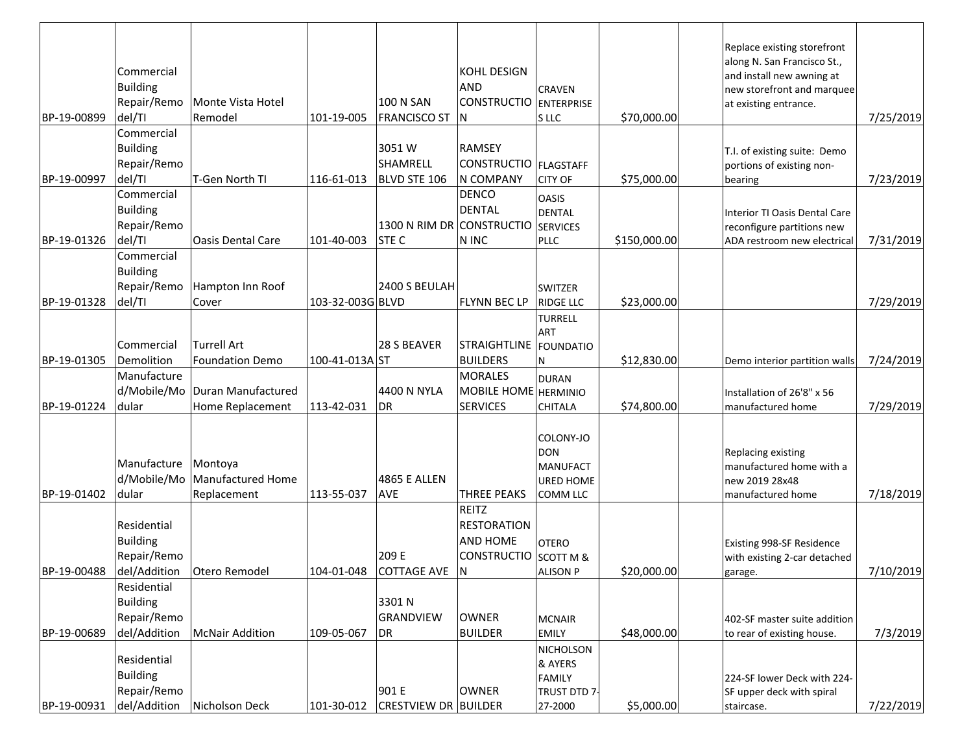| BP-19-00899                | Commercial<br><b>Building</b><br>Repair/Remo<br>del/TI        | Monte Vista Hotel<br>Remodel                                     | 101-19-005                   | 100 N SAN<br><b>FRANCISCO ST</b>     | KOHL DESIGN<br><b>AND</b><br>CONSTRUCTIO ENTERPRISE<br>ΙN                            | <b>CRAVEN</b><br>S LLC                                                     | \$70,000.00                | Replace existing storefront<br>along N. San Francisco St.,<br>and install new awning at<br>new storefront and marquee<br>at existing entrance. | 7/25/2019              |
|----------------------------|---------------------------------------------------------------|------------------------------------------------------------------|------------------------------|--------------------------------------|--------------------------------------------------------------------------------------|----------------------------------------------------------------------------|----------------------------|------------------------------------------------------------------------------------------------------------------------------------------------|------------------------|
| BP-19-00997                | Commercial<br><b>Building</b><br>Repair/Remo<br>del/TI        | T-Gen North TI                                                   | 116-61-013                   | 3051 W<br>SHAMRELL<br>BLVD STE 106   | <b>RAMSEY</b><br>CONSTRUCTIO   FLAGSTAFF<br>N COMPANY                                | <b>CITY OF</b>                                                             | \$75,000.00                | T.I. of existing suite: Demo<br>portions of existing non-<br>bearing                                                                           | 7/23/2019              |
| BP-19-01326                | Commercial<br><b>Building</b><br>Repair/Remo<br>del/TI        | <b>Oasis Dental Care</b>                                         | 101-40-003                   | 1300 N RIM DR CONSTRUCTIO<br>STE C   | <b>DENCO</b><br><b>DENTAL</b><br>N INC                                               | <b>OASIS</b><br><b>DENTAL</b><br><b>SERVICES</b><br><b>PLLC</b>            | \$150,000.00               | Interior TI Oasis Dental Care<br>reconfigure partitions new<br>ADA restroom new electrical                                                     | 7/31/2019              |
| BP-19-01328                | Commercial<br><b>Building</b><br>Repair/Remo<br>del/TI        | Hampton Inn Roof<br>Cover                                        | 103-32-003G BLVD             | 2400 S BEULAH                        | <b>FLYNN BEC LP</b>                                                                  | <b>SWITZER</b><br><b>RIDGE LLC</b>                                         | \$23,000.00                |                                                                                                                                                | 7/29/2019              |
|                            | Commercial                                                    | <b>Turrell Art</b>                                               |                              | 28 S BEAVER                          | STRAIGHTLINE   FOUNDATIO                                                             | <b>TURRELL</b><br>ART                                                      |                            |                                                                                                                                                |                        |
| BP-19-01305<br>BP-19-01224 | Demolition<br>Manufacture<br>d/Mobile/Mo<br>dular             | <b>Foundation Demo</b><br>Duran Manufactured<br>Home Replacement | 100-41-013A ST<br>113-42-031 | 4400 N NYLA<br>DR                    | <b>BUILDERS</b><br><b>MORALES</b><br>MOBILE HOME HERMINIO<br><b>SERVICES</b>         | N<br><b>DURAN</b><br><b>CHITALA</b>                                        | \$12,830.00<br>\$74,800.00 | Demo interior partition walls<br>Installation of 26'8" x 56<br>manufactured home                                                               | 7/24/2019<br>7/29/2019 |
| BP-19-01402                | Manufacture<br>d/Mobile/Mo<br>dular                           | Montoya<br>Manufactured Home<br>Replacement                      | 113-55-037                   | 4865 E ALLEN<br>AVE                  | <b>THREE PEAKS</b>                                                                   | COLONY-JO<br><b>DON</b><br><b>MANUFACT</b><br><b>URED HOME</b><br>COMM LLC |                            | Replacing existing<br>manufactured home with a<br>new 2019 28x48<br>manufactured home                                                          | 7/18/2019              |
| BP-19-00488                | Residential<br><b>Building</b><br>Repair/Remo<br>del/Addition | Otero Remodel                                                    |                              | 209 E<br>104-01-048 COTTAGE AVE      | <b>REITZ</b><br><b>RESTORATION</b><br><b>AND HOME</b><br>CONSTRUCTIO SCOTT M &<br> N | <b>OTERO</b><br><b>ALISON P</b>                                            | \$20,000.00                | Existing 998-SF Residence<br>with existing 2-car detached<br>garage.                                                                           | 7/10/2019              |
| BP-19-00689                | Residential<br><b>Building</b><br>Repair/Remo<br>del/Addition | <b>McNair Addition</b>                                           | 109-05-067                   | 3301 N<br>GRANDVIEW<br>DR            | <b>OWNER</b><br><b>BUILDER</b>                                                       | <b>MCNAIR</b><br>EMILY                                                     | \$48,000.00                | 402-SF master suite addition<br>to rear of existing house.                                                                                     | 7/3/2019               |
| BP-19-00931                | Residential<br><b>Building</b><br>Repair/Remo<br>del/Addition | Nicholson Deck                                                   | 101-30-012                   | 901 E<br><b>CRESTVIEW DR BUILDER</b> | <b>OWNER</b>                                                                         | NICHOLSON<br>& AYERS<br><b>FAMILY</b><br>TRUST DTD 7-<br>27-2000           | \$5,000.00                 | 224-SF lower Deck with 224-<br>SF upper deck with spiral<br>staircase.                                                                         | 7/22/2019              |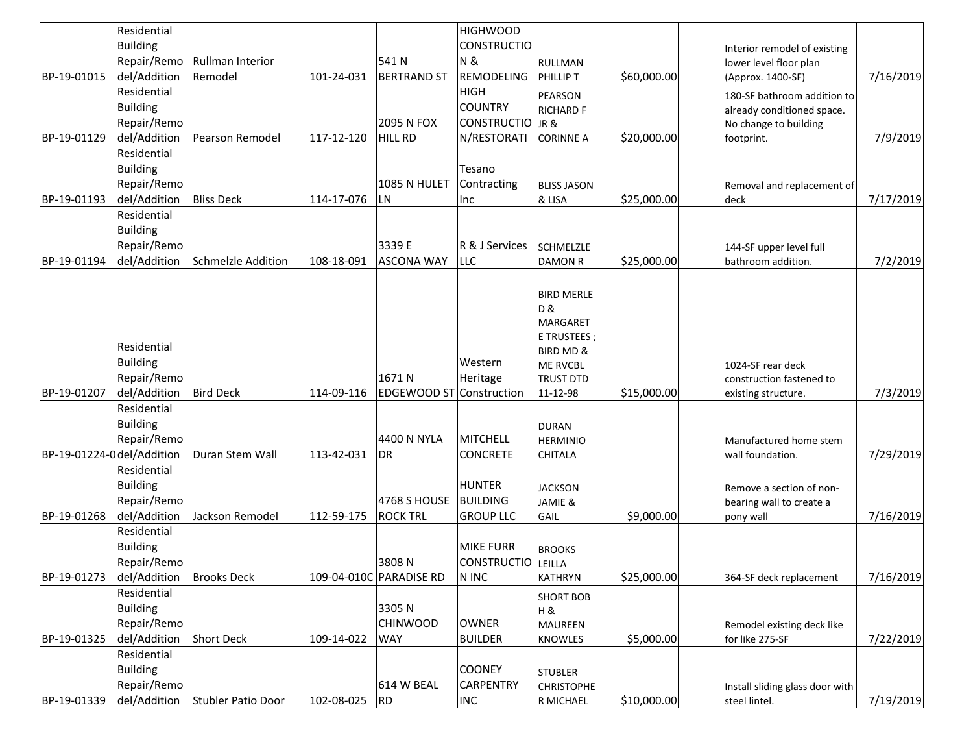|                            | Residential     |                        |            |                                 | <b>HIGHWOOD</b>         |                    |             |                                 |           |
|----------------------------|-----------------|------------------------|------------|---------------------------------|-------------------------|--------------------|-------------|---------------------------------|-----------|
|                            | <b>Building</b> |                        |            |                                 | <b>CONSTRUCTIO</b>      |                    |             | Interior remodel of existing    |           |
|                            | Repair/Remo     | Rullman Interior       |            | 541N                            | <b>N&amp;</b>           | <b>RULLMAN</b>     |             | lower level floor plan          |           |
| BP-19-01015                | del/Addition    | Remodel                | 101-24-031 | <b>BERTRAND ST</b>              | REMODELING              | <b>PHILLIP T</b>   | \$60,000.00 | (Approx. 1400-SF)               | 7/16/2019 |
|                            | Residential     |                        |            |                                 | <b>HIGH</b>             |                    |             |                                 |           |
|                            | <b>Building</b> |                        |            |                                 | <b>COUNTRY</b>          | PEARSON            |             | 180-SF bathroom addition to     |           |
|                            | Repair/Remo     |                        |            | 2095 N FOX                      | <b>CONSTRUCTIO</b> JR & | <b>RICHARD F</b>   |             | already conditioned space.      |           |
|                            | del/Addition    |                        |            | <b>HILL RD</b>                  |                         |                    | \$20,000.00 | No change to building           | 7/9/2019  |
| BP-19-01129                | Residential     | <b>Pearson Remodel</b> | 117-12-120 |                                 | N/RESTORATI             | <b>CORINNE A</b>   |             | footprint.                      |           |
|                            |                 |                        |            |                                 |                         |                    |             |                                 |           |
|                            | <b>Building</b> |                        |            |                                 | Tesano                  |                    |             |                                 |           |
|                            | Repair/Remo     |                        |            | 1085 N HULET                    | Contracting             | <b>BLISS JASON</b> |             | Removal and replacement of      |           |
| BP-19-01193                | del/Addition    | <b>Bliss Deck</b>      | 114-17-076 | LN                              | Inc                     | & LISA             | \$25,000.00 | deck                            | 7/17/2019 |
|                            | Residential     |                        |            |                                 |                         |                    |             |                                 |           |
|                            | <b>Building</b> |                        |            |                                 |                         |                    |             |                                 |           |
|                            | Repair/Remo     |                        |            | 3339 E                          | R & J Services          | <b>SCHMELZLE</b>   |             | 144-SF upper level full         |           |
| BP-19-01194                | del/Addition    | Schmelzle Addition     | 108-18-091 | <b>ASCONA WAY</b>               | <b>LLC</b>              | <b>DAMON R</b>     | \$25,000.00 | bathroom addition.              | 7/2/2019  |
|                            |                 |                        |            |                                 |                         |                    |             |                                 |           |
|                            |                 |                        |            |                                 |                         | <b>BIRD MERLE</b>  |             |                                 |           |
|                            |                 |                        |            |                                 |                         | <b>D&amp;</b>      |             |                                 |           |
|                            |                 |                        |            |                                 |                         | <b>MARGARET</b>    |             |                                 |           |
|                            |                 |                        |            |                                 |                         | E TRUSTEES         |             |                                 |           |
|                            | Residential     |                        |            |                                 |                         | BIRD MD &          |             |                                 |           |
|                            | <b>Building</b> |                        |            |                                 | Western                 | <b>ME RVCBL</b>    |             | 1024-SF rear deck               |           |
|                            | Repair/Remo     |                        |            | 1671 N                          | Heritage                | <b>TRUST DTD</b>   |             | construction fastened to        |           |
| BP-19-01207                | del/Addition    | <b>Bird Deck</b>       | 114-09-116 | <b>EDGEWOOD ST Construction</b> |                         | 11-12-98           | \$15,000.00 | existing structure.             | 7/3/2019  |
|                            | Residential     |                        |            |                                 |                         |                    |             |                                 |           |
|                            | <b>Building</b> |                        |            |                                 |                         | <b>DURAN</b>       |             |                                 |           |
|                            | Repair/Remo     |                        |            | 4400 N NYLA                     | <b>MITCHELL</b>         | <b>HERMINIO</b>    |             | Manufactured home stem          |           |
| BP-19-01224-0 del/Addition |                 | Duran Stem Wall        | 113-42-031 | <b>DR</b>                       | <b>CONCRETE</b>         | CHITALA            |             | wall foundation.                | 7/29/2019 |
|                            | Residential     |                        |            |                                 |                         |                    |             |                                 |           |
|                            | Building        |                        |            |                                 | <b>HUNTER</b>           | <b>JACKSON</b>     |             | Remove a section of non-        |           |
|                            | Repair/Remo     |                        |            | 4768 S HOUSE                    | <b>BUILDING</b>         | JAMIE &            |             | bearing wall to create a        |           |
| BP-19-01268                | del/Addition    | Jackson Remodel        | 112-59-175 | <b>ROCK TRL</b>                 | <b>GROUP LLC</b>        | GAIL               | \$9,000.00  | pony wall                       | 7/16/2019 |
|                            | Residential     |                        |            |                                 |                         |                    |             |                                 |           |
|                            | <b>Building</b> |                        |            |                                 | <b>MIKE FURR</b>        |                    |             |                                 |           |
|                            |                 |                        |            |                                 |                         | <b>BROOKS</b>      |             |                                 |           |
|                            | Repair/Remo     |                        |            | 3808N                           | CONSTRUCTIO LEILLA      |                    |             |                                 |           |
| BP-19-01273                | del/Addition    | <b>Brooks Deck</b>     |            | 109-04-010C PARADISE RD         | N INC                   | <b>KATHRYN</b>     | \$25,000.00 | 364-SF deck replacement         | 7/16/2019 |
|                            | Residential     |                        |            |                                 |                         | <b>SHORT BOB</b>   |             |                                 |           |
|                            | Building        |                        |            | 3305N                           |                         | H &                |             |                                 |           |
|                            | Repair/Remo     |                        |            | <b>CHINWOOD</b>                 | <b>OWNER</b>            | <b>MAUREEN</b>     |             | Remodel existing deck like      |           |
| BP-19-01325                | del/Addition    | Short Deck             | 109-14-022 | <b>WAY</b>                      | <b>BUILDER</b>          | KNOWLES            | \$5,000.00  | for like 275-SF                 | 7/22/2019 |
|                            | Residential     |                        |            |                                 |                         |                    |             |                                 |           |
|                            | <b>Building</b> |                        |            |                                 | <b>COONEY</b>           | <b>STUBLER</b>     |             |                                 |           |
|                            | Repair/Remo     |                        |            | 614 W BEAL                      | <b>CARPENTRY</b>        | <b>CHRISTOPHE</b>  |             | Install sliding glass door with |           |
| BP-19-01339                | del/Addition    | Stubler Patio Door     | 102-08-025 | <b>RD</b>                       | <b>INC</b>              | R MICHAEL          | \$10,000.00 | steel lintel.                   | 7/19/2019 |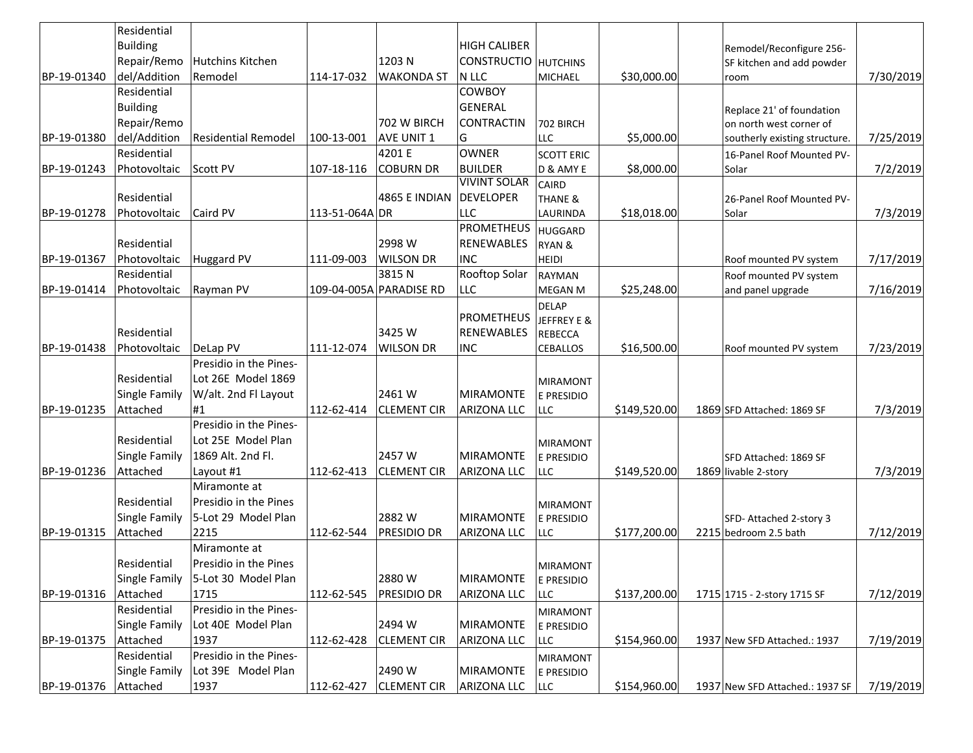|             | Residential          |                            |                |                         |                      |                    |              |                                 |           |
|-------------|----------------------|----------------------------|----------------|-------------------------|----------------------|--------------------|--------------|---------------------------------|-----------|
|             | <b>Building</b>      |                            |                |                         | <b>HIGH CALIBER</b>  |                    |              | Remodel/Reconfigure 256-        |           |
|             | Repair/Remo          | <b>Hutchins Kitchen</b>    |                | 1203 N                  | CONSTRUCTIO HUTCHINS |                    |              | SF kitchen and add powder       |           |
| BP-19-01340 | del/Addition         | Remodel                    | 114-17-032     | <b>WAKONDA ST</b>       | N LLC                | MICHAEL            | \$30,000.00  | room                            | 7/30/2019 |
|             | Residential          |                            |                |                         | <b>COWBOY</b>        |                    |              |                                 |           |
|             | <b>Building</b>      |                            |                |                         | <b>GENERAL</b>       |                    |              | Replace 21' of foundation       |           |
|             | Repair/Remo          |                            |                | 702 W BIRCH             | CONTRACTIN           | 702 BIRCH          |              | on north west corner of         |           |
| BP-19-01380 | del/Addition         | <b>Residential Remodel</b> | 100-13-001     | <b>AVE UNIT 1</b>       | G                    | <b>LLC</b>         | \$5,000.00   | southerly existing structure.   | 7/25/2019 |
|             | Residential          |                            |                | 4201 E                  | <b>OWNER</b>         | <b>SCOTT ERIC</b>  |              | 16-Panel Roof Mounted PV-       |           |
| BP-19-01243 | Photovoltaic         | <b>Scott PV</b>            | 107-18-116     | <b>COBURN DR</b>        | <b>BUILDER</b>       | D & AMY E          | \$8,000.00   | Solar                           | 7/2/2019  |
|             |                      |                            |                |                         | <b>VIVINT SOLAR</b>  | <b>CAIRD</b>       |              |                                 |           |
|             | Residential          |                            |                | 4865 E INDIAN           | DEVELOPER            | <b>THANE &amp;</b> |              | 26-Panel Roof Mounted PV-       |           |
| BP-19-01278 | Photovoltaic         | Caird PV                   | 113-51-064A DR |                         | <b>LLC</b>           | LAURINDA           | \$18,018.00  | Solar                           | 7/3/2019  |
|             |                      |                            |                |                         | <b>PROMETHEUS</b>    | <b>HUGGARD</b>     |              |                                 |           |
|             | Residential          |                            |                | 2998 W                  | <b>RENEWABLES</b>    | <b>RYAN &amp;</b>  |              |                                 |           |
| BP-19-01367 | Photovoltaic         | <b>Huggard PV</b>          | 111-09-003     | <b>WILSON DR</b>        | <b>INC</b>           | <b>HEIDI</b>       |              | Roof mounted PV system          | 7/17/2019 |
|             | Residential          |                            |                | 3815N                   | Rooftop Solar        | <b>RAYMAN</b>      |              | Roof mounted PV system          |           |
| BP-19-01414 | Photovoltaic         | Rayman PV                  |                | 109-04-005A PARADISE RD | <b>LLC</b>           | <b>MEGAN M</b>     | \$25,248.00  | and panel upgrade               | 7/16/2019 |
|             |                      |                            |                |                         |                      | <b>DELAP</b>       |              |                                 |           |
|             |                      |                            |                |                         | PROMETHEUS           | JEFFREY E &        |              |                                 |           |
|             | Residential          |                            |                | 3425 W                  | <b>RENEWABLES</b>    | <b>REBECCA</b>     |              |                                 |           |
| BP-19-01438 | Photovoltaic         | DeLap PV                   | 111-12-074     | <b>WILSON DR</b>        | <b>INC</b>           | <b>CEBALLOS</b>    | \$16,500.00  | Roof mounted PV system          | 7/23/2019 |
|             |                      | Presidio in the Pines-     |                |                         |                      |                    |              |                                 |           |
|             | Residential          | Lot 26E Model 1869         |                |                         |                      | <b>MIRAMONT</b>    |              |                                 |           |
|             | Single Family        | W/alt. 2nd Fl Layout       |                | 2461 W                  | <b>MIRAMONTE</b>     | E PRESIDIO         |              |                                 |           |
| BP-19-01235 | Attached             | #1                         | 112-62-414     | <b>CLEMENT CIR</b>      | <b>ARIZONA LLC</b>   | <b>LLC</b>         | \$149,520.00 | 1869 SFD Attached: 1869 SF      | 7/3/2019  |
|             |                      | Presidio in the Pines-     |                |                         |                      |                    |              |                                 |           |
|             | Residential          | Lot 25E Model Plan         |                |                         |                      | <b>MIRAMONT</b>    |              |                                 |           |
|             | Single Family        | 1869 Alt. 2nd Fl.          |                | 2457W                   | <b>MIRAMONTE</b>     | E PRESIDIO         |              | SFD Attached: 1869 SF           |           |
| BP-19-01236 | Attached             | Layout #1                  | 112-62-413     | <b>CLEMENT CIR</b>      | <b>ARIZONA LLC</b>   | <b>LLC</b>         | \$149,520.00 | 1869 livable 2-story            | 7/3/2019  |
|             |                      | Miramonte at               |                |                         |                      |                    |              |                                 |           |
|             | Residential          | Presidio in the Pines      |                |                         |                      | MIRAMONT           |              |                                 |           |
|             | Single Family        | 5-Lot 29 Model Plan        |                | 2882W                   | <b>MIRAMONTE</b>     | E PRESIDIO         |              | SFD-Attached 2-story 3          |           |
| BP-19-01315 | Attached             | 2215                       | 112-62-544     | <b>PRESIDIO DR</b>      | <b>ARIZONA LLC</b>   | <b>LLC</b>         | \$177,200.00 | 2215 bedroom 2.5 bath           | 7/12/2019 |
|             |                      | Miramonte at               |                |                         |                      |                    |              |                                 |           |
|             | Residential          | Presidio in the Pines      |                |                         |                      | <b>MIRAMONT</b>    |              |                                 |           |
|             | Single Family        | 5-Lot 30 Model Plan        |                | 2880W                   | MIRAMONTE            | E PRESIDIO         |              |                                 |           |
| BP-19-01316 | Attached             | 1715                       | 112-62-545     | <b>PRESIDIO DR</b>      | <b>ARIZONA LLC</b>   | <b>LLC</b>         | \$137,200.00 | 1715 1715 - 2-story 1715 SF     | 7/12/2019 |
|             | Residential          | Presidio in the Pines-     |                |                         |                      | <b>MIRAMONT</b>    |              |                                 |           |
|             | Single Family        | Lot 40E Model Plan         |                | 2494 W                  | <b>MIRAMONTE</b>     | E PRESIDIO         |              |                                 |           |
| BP-19-01375 | Attached             | 1937                       | 112-62-428     | <b>CLEMENT CIR</b>      | <b>ARIZONA LLC</b>   | LLC                | \$154,960.00 | 1937 New SFD Attached.: 1937    | 7/19/2019 |
|             | Residential          | Presidio in the Pines-     |                |                         |                      | <b>MIRAMONT</b>    |              |                                 |           |
|             | <b>Single Family</b> | Lot 39E Model Plan         |                | 2490W                   | <b>MIRAMONTE</b>     | E PRESIDIO         |              |                                 |           |
| BP-19-01376 | Attached             | 1937                       | 112-62-427     | <b>CLEMENT CIR</b>      | <b>ARIZONA LLC</b>   | LLC                | \$154,960.00 | 1937 New SFD Attached.: 1937 SF | 7/19/2019 |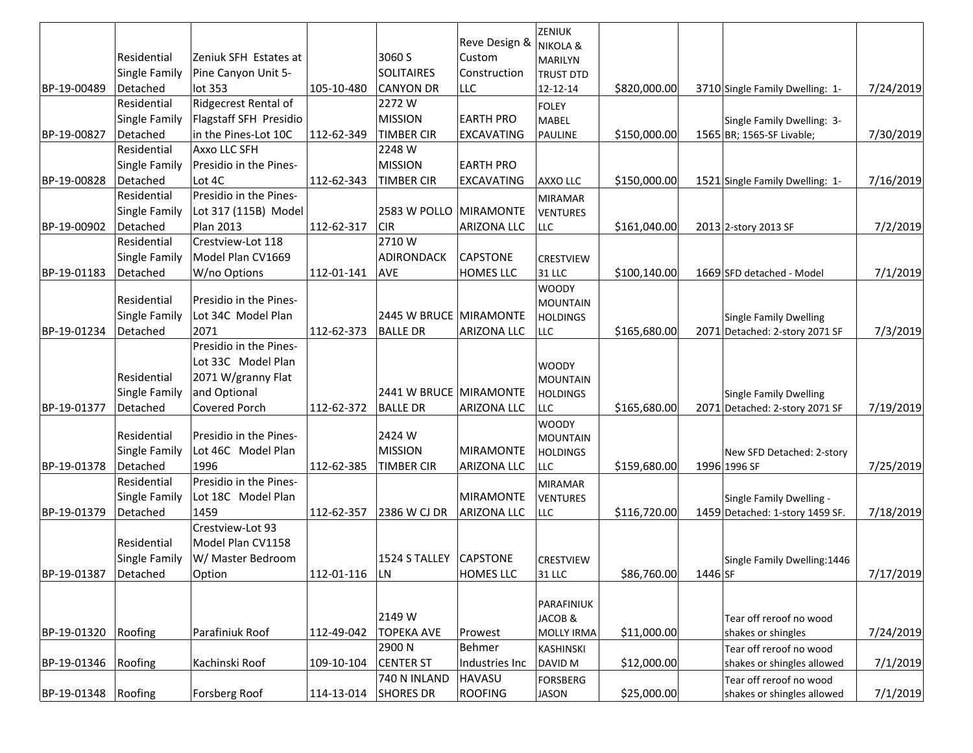|                      |               |                        |               |                        | Reve Design &      | ZENIUK              |              |                                 |           |
|----------------------|---------------|------------------------|---------------|------------------------|--------------------|---------------------|--------------|---------------------------------|-----------|
|                      | Residential   | Zeniuk SFH Estates at  |               | 3060 S                 | <b>Custom</b>      | <b>NIKOLA &amp;</b> |              |                                 |           |
|                      |               |                        |               |                        |                    | MARILYN             |              |                                 |           |
|                      | Single Family | Pine Canyon Unit 5-    |               | <b>SOLITAIRES</b>      | Construction       | <b>TRUST DTD</b>    |              |                                 |           |
| BP-19-00489          | Detached      | lot 353                | 105-10-480    | <b>CANYON DR</b>       | LLC                | 12-12-14            | \$820,000.00 | 3710 Single Family Dwelling: 1- | 7/24/2019 |
|                      | Residential   | Ridgecrest Rental of   |               | 2272W                  |                    | <b>FOLEY</b>        |              |                                 |           |
|                      | Single Family | Flagstaff SFH Presidio |               | <b>MISSION</b>         | <b>EARTH PRO</b>   | MABEL               |              | Single Family Dwelling: 3-      |           |
| BP-19-00827          | Detached      | in the Pines-Lot 10C   | 112-62-349    | <b>TIMBER CIR</b>      | <b>EXCAVATING</b>  | <b>PAULINE</b>      | \$150,000.00 | 1565 BR; 1565-SF Livable;       | 7/30/2019 |
|                      | Residential   | Axxo LLC SFH           |               | 2248 W                 |                    |                     |              |                                 |           |
|                      | Single Family | Presidio in the Pines- |               | <b>MISSION</b>         | <b>EARTH PRO</b>   |                     |              |                                 |           |
| BP-19-00828          | Detached      | Lot 4C                 | 112-62-343    | <b>TIMBER CIR</b>      | <b>EXCAVATING</b>  | <b>AXXO LLC</b>     | \$150,000.00 | 1521 Single Family Dwelling: 1- | 7/16/2019 |
|                      | Residential   | Presidio in the Pines- |               |                        |                    | <b>MIRAMAR</b>      |              |                                 |           |
|                      | Single Family | Lot 317 (115B) Model   |               | 2583 W POLLO MIRAMONTE |                    | <b>VENTURES</b>     |              |                                 |           |
| BP-19-00902          | Detached      | Plan 2013              | 112-62-317    | <b>CIR</b>             | <b>ARIZONA LLC</b> | LLC                 | \$161,040.00 | 2013 2-story 2013 SF            | 7/2/2019  |
|                      | Residential   | Crestview-Lot 118      |               | 2710W                  |                    |                     |              |                                 |           |
|                      | Single Family | Model Plan CV1669      |               | ADIRONDACK             | <b>CAPSTONE</b>    | <b>CRESTVIEW</b>    |              |                                 |           |
| BP-19-01183          | Detached      | W/no Options           | 112-01-141    | <b>AVE</b>             | <b>HOMES LLC</b>   | 31 LLC              | \$100,140.00 | 1669 SFD detached - Model       | 7/1/2019  |
|                      |               |                        |               |                        |                    | <b>WOODY</b>        |              |                                 |           |
|                      | Residential   | Presidio in the Pines- |               |                        |                    | <b>MOUNTAIN</b>     |              |                                 |           |
|                      | Single Family | Lot 34C Model Plan     |               | 2445 W BRUCE MIRAMONTE |                    | <b>HOLDINGS</b>     |              | <b>Single Family Dwelling</b>   |           |
| BP-19-01234          | Detached      | 2071                   | 112-62-373    | <b>BALLE DR</b>        | <b>ARIZONA LLC</b> | <b>LLC</b>          | \$165,680.00 | 2071 Detached: 2-story 2071 SF  | 7/3/2019  |
|                      |               | Presidio in the Pines- |               |                        |                    |                     |              |                                 |           |
|                      |               | Lot 33C Model Plan     |               |                        |                    | <b>WOODY</b>        |              |                                 |           |
|                      | Residential   | 2071 W/granny Flat     |               |                        |                    | <b>MOUNTAIN</b>     |              |                                 |           |
|                      | Single Family | and Optional           |               | 2441 W BRUCE MIRAMONTE |                    | <b>HOLDINGS</b>     |              | <b>Single Family Dwelling</b>   |           |
| BP-19-01377          | Detached      | Covered Porch          | 112-62-372    | <b>BALLE DR</b>        | <b>ARIZONA LLC</b> | <b>LLC</b>          | \$165,680.00 | 2071 Detached: 2-story 2071 SF  | 7/19/2019 |
|                      |               |                        |               |                        |                    | <b>WOODY</b>        |              |                                 |           |
|                      | Residential   | Presidio in the Pines- |               | 2424 W                 |                    | <b>MOUNTAIN</b>     |              |                                 |           |
|                      | Single Family | Lot 46C Model Plan     |               | <b>MISSION</b>         | <b>MIRAMONTE</b>   | <b>HOLDINGS</b>     |              | New SFD Detached: 2-story       |           |
| BP-19-01378          | Detached      | 1996                   | 112-62-385    | <b>TIMBER CIR</b>      | <b>ARIZONA LLC</b> | <b>LLC</b>          | \$159,680.00 | 1996 1996 SF                    | 7/25/2019 |
|                      | Residential   | Presidio in the Pines- |               |                        |                    | <b>MIRAMAR</b>      |              |                                 |           |
|                      | Single Family | Lot 18C Model Plan     |               |                        | <b>MIRAMONTE</b>   | <b>VENTURES</b>     |              | Single Family Dwelling -        |           |
| BP-19-01379          | Detached      | 1459                   | 112-62-357    | 2386 W CJ DR           | <b>ARIZONA LLC</b> | <b>LLC</b>          | \$116,720.00 | 1459 Detached: 1-story 1459 SF. | 7/18/2019 |
|                      |               | Crestview-Lot 93       |               |                        |                    |                     |              |                                 |           |
|                      | Residential   | Model Plan CV1158      |               |                        |                    |                     |              |                                 |           |
|                      | Single Family | W/ Master Bedroom      |               | 1524 S TALLEY CAPSTONE |                    | <b>CRESTVIEW</b>    |              | Single Family Dwelling: 1446    |           |
| BP-19-01387 Detached |               | Option                 | 112-01-116 LN |                        | <b>HOMES LLC</b>   | 31 LLC              | \$86,760.00  | 1446 SF                         | 7/17/2019 |
|                      |               |                        |               |                        |                    |                     |              |                                 |           |
|                      |               |                        |               |                        |                    | PARAFINIUK          |              |                                 |           |
|                      |               |                        |               | 2149 W                 |                    | JACOB &             |              | Tear off reroof no wood         |           |
| BP-19-01320          | Roofing       | Parafiniuk Roof        | 112-49-042    | <b>TOPEKA AVE</b>      | Prowest            | <b>MOLLY IRMA</b>   | \$11,000.00  | shakes or shingles              | 7/24/2019 |
|                      |               |                        |               | 2900 N                 | Behmer             | <b>KASHINSKI</b>    |              | Tear off reroof no wood         |           |
| BP-19-01346          | Roofing       | Kachinski Roof         | 109-10-104    | <b>CENTER ST</b>       | Industries Inc     | DAVID M             | \$12,000.00  | shakes or shingles allowed      | 7/1/2019  |
|                      |               |                        |               | 740 N INLAND           | <b>HAVASU</b>      | <b>FORSBERG</b>     |              | Tear off reroof no wood         |           |
| BP-19-01348 Roofing  |               | Forsberg Roof          | 114-13-014    | <b>SHORES DR</b>       | <b>ROOFING</b>     | JASON               | \$25,000.00  | shakes or shingles allowed      | 7/1/2019  |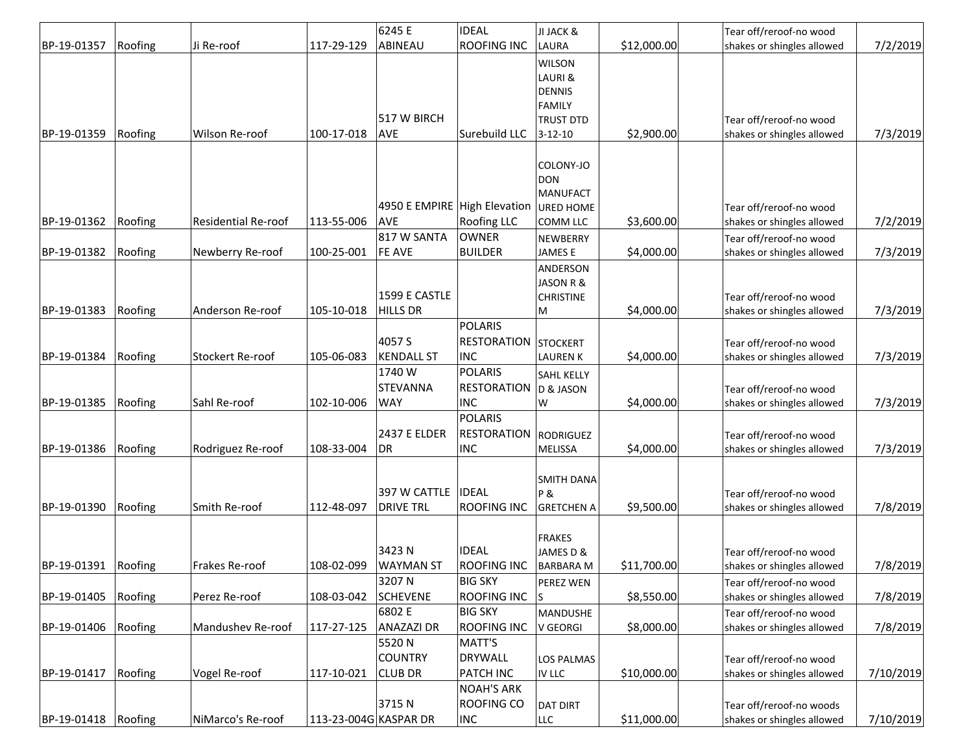|                     |         |                            |                       | 6245 E                       | <b>IDEAL</b>       | JI JACK &         |             | Tear off/reroof-no wood    |           |
|---------------------|---------|----------------------------|-----------------------|------------------------------|--------------------|-------------------|-------------|----------------------------|-----------|
| BP-19-01357         | Roofing | Ji Re-roof                 | 117-29-129            | ABINEAU                      | <b>ROOFING INC</b> | <b>LAURA</b>      | \$12,000.00 | shakes or shingles allowed | 7/2/2019  |
|                     |         |                            |                       |                              |                    | <b>WILSON</b>     |             |                            |           |
|                     |         |                            |                       |                              |                    | LAURI &           |             |                            |           |
|                     |         |                            |                       |                              |                    | <b>DENNIS</b>     |             |                            |           |
|                     |         |                            |                       |                              |                    | <b>FAMILY</b>     |             |                            |           |
|                     |         |                            |                       | 517 W BIRCH                  |                    | <b>TRUST DTD</b>  |             | Tear off/reroof-no wood    |           |
| BP-19-01359         | Roofing | Wilson Re-roof             | 100-17-018            | <b>AVE</b>                   | Surebuild LLC      | $3 - 12 - 10$     | \$2,900.00  | shakes or shingles allowed | 7/3/2019  |
|                     |         |                            |                       |                              |                    |                   |             |                            |           |
|                     |         |                            |                       |                              |                    | COLONY-JO         |             |                            |           |
|                     |         |                            |                       |                              |                    | <b>DON</b>        |             |                            |           |
|                     |         |                            |                       |                              |                    | <b>MANUFACT</b>   |             |                            |           |
|                     |         |                            |                       | 4950 E EMPIRE High Elevation |                    | <b>URED HOME</b>  |             | Tear off/reroof-no wood    |           |
| BP-19-01362         | Roofing | <b>Residential Re-roof</b> | 113-55-006            | <b>AVF</b>                   | <b>Roofing LLC</b> | COMM LLC          | \$3,600.00  | shakes or shingles allowed | 7/2/2019  |
|                     |         |                            |                       | 817 W SANTA                  | <b>OWNER</b>       | NEWBERRY          |             | Tear off/reroof-no wood    |           |
| BP-19-01382         | Roofing | Newberry Re-roof           | 100-25-001            | <b>FE AVE</b>                | <b>BUILDER</b>     | <b>JAMESE</b>     | \$4,000.00  | shakes or shingles allowed | 7/3/2019  |
|                     |         |                            |                       |                              |                    | ANDERSON          |             |                            |           |
|                     |         |                            |                       |                              |                    | JASON R &         |             |                            |           |
|                     |         |                            |                       | 1599 E CASTLE                |                    | <b>CHRISTINE</b>  |             | Tear off/reroof-no wood    |           |
| BP-19-01383         | Roofing | Anderson Re-roof           | 105-10-018            | <b>HILLS DR</b>              |                    | M                 | \$4,000.00  | shakes or shingles allowed | 7/3/2019  |
|                     |         |                            |                       |                              | <b>POLARIS</b>     |                   |             |                            |           |
|                     |         |                            |                       | 4057 S                       | <b>RESTORATION</b> | <b>STOCKERT</b>   |             | Tear off/reroof-no wood    |           |
| BP-19-01384         | Roofing | Stockert Re-roof           | 105-06-083            | <b>KENDALL ST</b>            | <b>INC</b>         | <b>LAUREN K</b>   | \$4,000.00  | shakes or shingles allowed | 7/3/2019  |
|                     |         |                            |                       | 1740 W                       | <b>POLARIS</b>     | <b>SAHL KELLY</b> |             |                            |           |
|                     |         |                            |                       | <b>STEVANNA</b>              | <b>RESTORATION</b> | D & JASON         |             | Tear off/reroof-no wood    |           |
| BP-19-01385         | Roofing | Sahl Re-roof               | 102-10-006            | <b>WAY</b>                   | <b>INC</b>         | W                 | \$4,000.00  | shakes or shingles allowed | 7/3/2019  |
|                     |         |                            |                       |                              | <b>POLARIS</b>     |                   |             |                            |           |
|                     |         |                            |                       | 2437 E ELDER                 | <b>RESTORATION</b> |                   |             |                            |           |
|                     |         |                            |                       |                              |                    | <b>RODRIGUEZ</b>  |             | Tear off/reroof-no wood    |           |
| BP-19-01386         | Roofing | Rodriguez Re-roof          | 108-33-004            | DR                           | <b>INC</b>         | <b>MELISSA</b>    | \$4,000.00  | shakes or shingles allowed | 7/3/2019  |
|                     |         |                            |                       |                              |                    | <b>SMITH DANA</b> |             |                            |           |
|                     |         |                            |                       | 397 W CATTLE                 | <b>IDEAL</b>       | <b>P&amp;</b>     |             | Tear off/reroof-no wood    |           |
| BP-19-01390         | Roofing | Smith Re-roof              | 112-48-097            | <b>DRIVE TRL</b>             | <b>ROOFING INC</b> | <b>GRETCHEN A</b> | \$9,500.00  | shakes or shingles allowed | 7/8/2019  |
|                     |         |                            |                       |                              |                    |                   |             |                            |           |
|                     |         |                            |                       |                              |                    | <b>FRAKES</b>     |             |                            |           |
|                     |         |                            |                       | 3423N                        | <b>IDEAL</b>       | JAMES D &         |             | Tear off/reroof-no wood    |           |
| BP-19-01391 Roofing |         | Frakes Re-roof             | 108-02-099            | <b>WAYMAN ST</b>             | <b>ROOFING INC</b> | <b>BARBARA M</b>  | \$11,700.00 | shakes or shingles allowed | 7/8/2019  |
|                     |         |                            |                       | 3207 N                       | <b>BIG SKY</b>     | PEREZ WEN         |             | Tear off/reroof-no wood    |           |
| BP-19-01405         | Roofing | Perez Re-roof              | 108-03-042            | <b>SCHEVENE</b>              | <b>ROOFING INC</b> |                   | \$8,550.00  | shakes or shingles allowed | 7/8/2019  |
|                     |         |                            |                       | 6802 E                       | <b>BIG SKY</b>     | MANDUSHE          |             | Tear off/reroof-no wood    |           |
| BP-19-01406         | Roofing | Mandushev Re-roof          | 117-27-125            | <b>ANAZAZI DR</b>            | <b>ROOFING INC</b> | V GEORGI          | \$8,000.00  | shakes or shingles allowed | 7/8/2019  |
|                     |         |                            |                       | 5520N                        | MATT'S             |                   |             |                            |           |
|                     |         |                            |                       | <b>COUNTRY</b>               | <b>DRYWALL</b>     |                   |             |                            |           |
| BP-19-01417         | Roofing |                            | 117-10-021            | <b>CLUB DR</b>               | <b>PATCH INC</b>   | LOS PALMAS        | \$10,000.00 | Tear off/reroof-no wood    | 7/10/2019 |
|                     |         | Vogel Re-roof              |                       |                              |                    | IV LLC            |             | shakes or shingles allowed |           |
|                     |         |                            |                       |                              | <b>NOAH'S ARK</b>  |                   |             |                            |           |
|                     |         |                            |                       | 3715N                        | <b>ROOFING CO</b>  | <b>DAT DIRT</b>   |             | Tear off/reroof-no woods   |           |
| BP-19-01418         | Roofing | NiMarco's Re-roof          | 113-23-004G KASPAR DR |                              | <b>INC</b>         | <b>LLC</b>        | \$11,000.00 | shakes or shingles allowed | 7/10/2019 |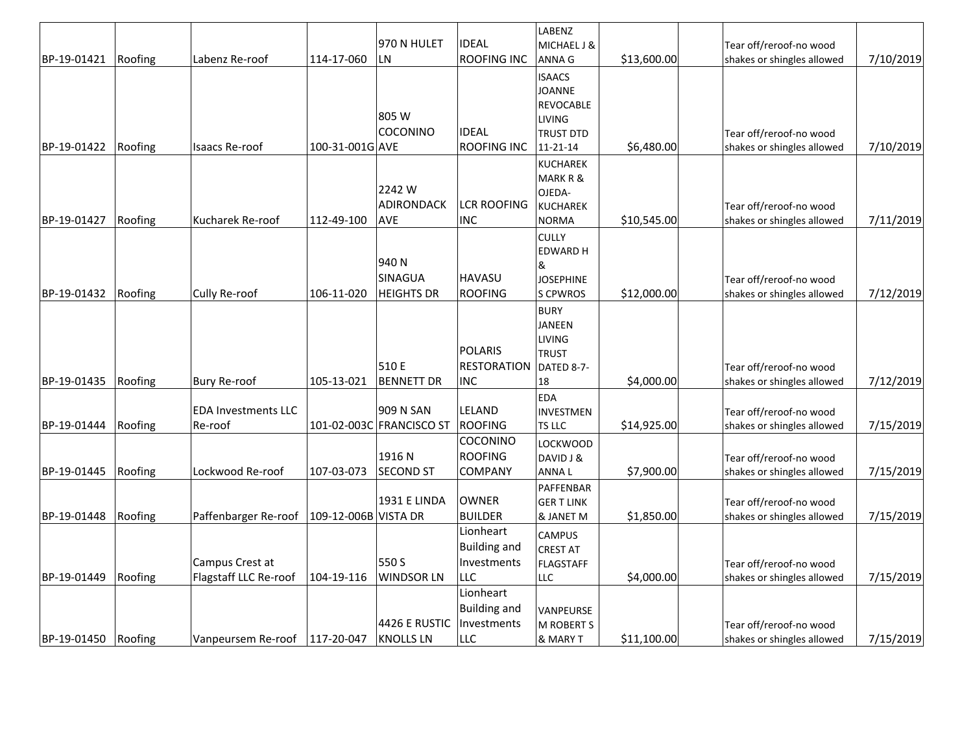|                     |         |                                 |                      |                     | <b>IDEAL</b>             | LABENZ                |             |                                                       |           |
|---------------------|---------|---------------------------------|----------------------|---------------------|--------------------------|-----------------------|-------------|-------------------------------------------------------|-----------|
| BP-19-01421         | Roofing | Labenz Re-roof                  | 114-17-060           | 970 N HULET<br>LN   | <b>ROOFING INC</b>       | MICHAEL J &<br>ANNA G | \$13,600.00 | Tear off/reroof-no wood<br>shakes or shingles allowed | 7/10/2019 |
|                     |         |                                 |                      |                     |                          |                       |             |                                                       |           |
|                     |         |                                 |                      |                     |                          | <b>ISAACS</b>         |             |                                                       |           |
|                     |         |                                 |                      |                     |                          | JOANNE                |             |                                                       |           |
|                     |         |                                 |                      | 805 W               |                          | REVOCABLE<br>LIVING   |             |                                                       |           |
|                     |         |                                 |                      | COCONINO            | <b>IDEAL</b>             | <b>TRUST DTD</b>      |             | Tear off/reroof-no wood                               |           |
| BP-19-01422         | Roofing | Isaacs Re-roof                  | 100-31-001G AVE      |                     | <b>ROOFING INC</b>       | 11-21-14              | \$6,480.00  | shakes or shingles allowed                            | 7/10/2019 |
|                     |         |                                 |                      |                     |                          | <b>KUCHAREK</b>       |             |                                                       |           |
|                     |         |                                 |                      |                     |                          | MARK R &              |             |                                                       |           |
|                     |         |                                 |                      | 2242W               |                          | OJEDA-                |             |                                                       |           |
|                     |         |                                 |                      | <b>ADIRONDACK</b>   | <b>LCR ROOFING</b>       | <b>KUCHAREK</b>       |             | Tear off/reroof-no wood                               |           |
| BP-19-01427         | Roofing | Kucharek Re-roof                | 112-49-100           | <b>AVE</b>          | <b>INC</b>               | <b>NORMA</b>          | \$10,545.00 | shakes or shingles allowed                            | 7/11/2019 |
|                     |         |                                 |                      |                     |                          | <b>CULLY</b>          |             |                                                       |           |
|                     |         |                                 |                      |                     |                          | <b>EDWARD H</b>       |             |                                                       |           |
|                     |         |                                 |                      | 940N                |                          | &                     |             |                                                       |           |
|                     |         |                                 |                      | <b>SINAGUA</b>      | <b>HAVASU</b>            | <b>JOSEPHINE</b>      |             | Tear off/reroof-no wood                               |           |
| BP-19-01432         | Roofing | Cully Re-roof                   | 106-11-020           | <b>HEIGHTS DR</b>   | <b>ROOFING</b>           | S CPWROS              | \$12,000.00 | shakes or shingles allowed                            | 7/12/2019 |
|                     |         |                                 |                      |                     |                          | <b>BURY</b>           |             |                                                       |           |
|                     |         |                                 |                      |                     |                          | <b>JANEEN</b>         |             |                                                       |           |
|                     |         |                                 |                      |                     |                          | LIVING                |             |                                                       |           |
|                     |         |                                 |                      |                     | <b>POLARIS</b>           | <b>TRUST</b>          |             |                                                       |           |
|                     |         |                                 |                      | 510 E               | RESTORATION   DATED 8-7- |                       |             | Tear off/reroof-no wood                               |           |
| BP-19-01435         | Roofing | <b>Bury Re-roof</b>             | 105-13-021           | <b>BENNETT DR</b>   | <b>INC</b>               | 18                    | \$4,000.00  | shakes or shingles allowed                            | 7/12/2019 |
|                     |         |                                 |                      |                     |                          | <b>EDA</b>            |             |                                                       |           |
|                     |         | <b>EDA Investments LLC</b>      |                      | 909 N SAN           | LELAND                   | <b>INVESTMEN</b>      |             | Tear off/reroof-no wood                               |           |
| BP-19-01444         | Roofing | Re-roof                         | 101-02-003C          | <b>FRANCISCO ST</b> | <b>ROOFING</b>           | TS LLC                | \$14,925.00 | shakes or shingles allowed                            | 7/15/2019 |
|                     |         |                                 |                      |                     | COCONINO                 | <b>LOCKWOOD</b>       |             |                                                       |           |
|                     |         |                                 |                      | 1916 N              | <b>ROOFING</b>           | DAVID J &             |             | Tear off/reroof-no wood                               |           |
| BP-19-01445         | Roofing | Lockwood Re-roof                | 107-03-073           | <b>SECOND ST</b>    | COMPANY                  | ANNA L                | \$7,900.00  | shakes or shingles allowed                            | 7/15/2019 |
|                     |         |                                 |                      |                     |                          | PAFFENBAR             |             |                                                       |           |
|                     |         |                                 |                      | <b>1931 E LINDA</b> | OWNER                    | <b>GERT LINK</b>      |             | Tear off/reroof-no wood                               |           |
| BP-19-01448         | Roofing | Paffenbarger Re-roof            | 109-12-006B VISTA DR |                     | <b>BUILDER</b>           | & JANET M             | \$1,850.00  | shakes or shingles allowed                            | 7/15/2019 |
|                     |         |                                 |                      |                     | Lionheart                | <b>CAMPUS</b>         |             |                                                       |           |
|                     |         |                                 |                      |                     | <b>Building and</b>      | <b>CREST AT</b>       |             |                                                       |           |
|                     |         | Campus Crest at                 |                      | 550 S               | Investments              | <b>FLAGSTAFF</b>      |             | Tear off/reroof-no wood                               |           |
| BP-19-01449         | Roofing | Flagstaff LLC Re-roof           | 104-19-116           | <b>WINDSOR LN</b>   | <b>LLC</b>               | <b>LLC</b>            | \$4,000.00  | shakes or shingles allowed                            | 7/15/2019 |
|                     |         |                                 |                      |                     | Lionheart                |                       |             |                                                       |           |
|                     |         |                                 |                      |                     | <b>Building and</b>      | VANPEURSE             |             |                                                       |           |
|                     |         |                                 |                      | 4426 E RUSTIC       | Investments              | M ROBERT S            |             | Tear off/reroof-no wood                               |           |
| BP-19-01450 Roofing |         | Vanpeursem Re-roof   117-20-047 |                      | <b>KNOLLS LN</b>    | <b>LLC</b>               | & MARY T              | \$11,100.00 | shakes or shingles allowed                            | 7/15/2019 |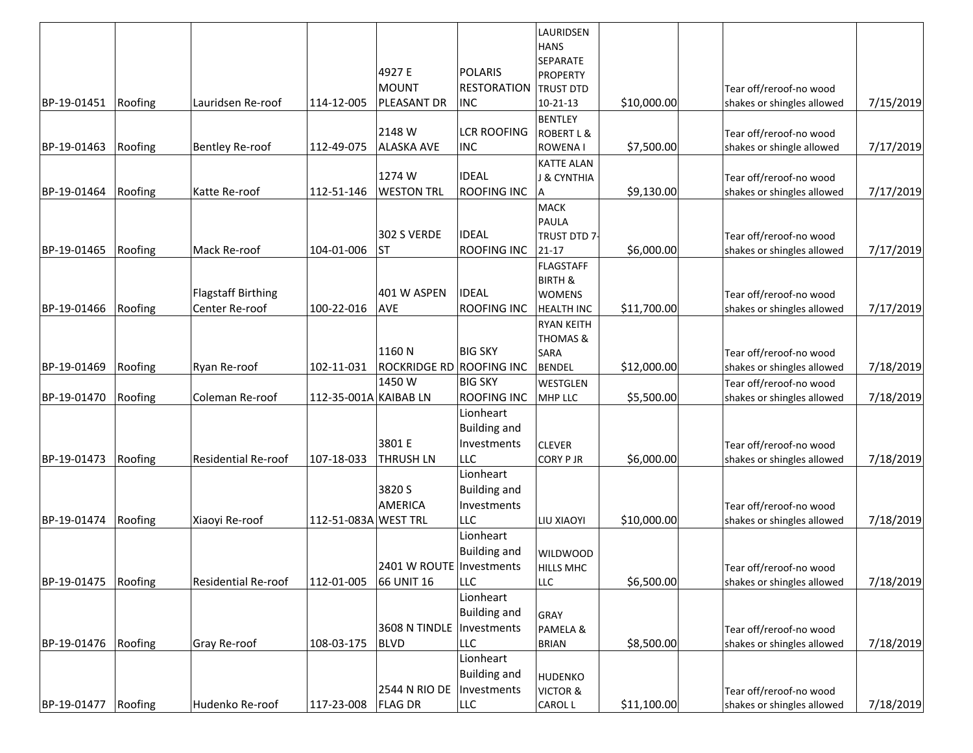|             |         |                            |                       |                                 |                     | LAURIDSEN                          |             |                                                       |           |
|-------------|---------|----------------------------|-----------------------|---------------------------------|---------------------|------------------------------------|-------------|-------------------------------------------------------|-----------|
|             |         |                            |                       |                                 |                     | <b>HANS</b>                        |             |                                                       |           |
|             |         |                            |                       |                                 |                     | SEPARATE                           |             |                                                       |           |
|             |         |                            |                       | 4927 E                          | POLARIS             | <b>PROPERTY</b>                    |             |                                                       |           |
|             |         |                            |                       | MOUNT                           | <b>RESTORATION</b>  | <b>TRUST DTD</b>                   |             | Tear off/reroof-no wood                               |           |
| BP-19-01451 | Roofing | Lauridsen Re-roof          | 114-12-005            | PLEASANT DR                     | <b>INC</b>          | $10 - 21 - 13$                     | \$10,000.00 | shakes or shingles allowed                            | 7/15/2019 |
|             |         |                            |                       |                                 |                     | <b>BENTLEY</b>                     |             |                                                       |           |
|             |         |                            |                       | 2148 W                          | <b>LCR ROOFING</b>  | <b>ROBERT L &amp;</b>              |             | Tear off/reroof-no wood                               |           |
| BP-19-01463 | Roofing | <b>Bentley Re-roof</b>     | 112-49-075            | <b>ALASKA AVE</b>               | <b>INC</b>          | <b>ROWENAI</b>                     | \$7,500.00  | shakes or shingle allowed                             | 7/17/2019 |
|             |         |                            |                       |                                 | <b>IDEAL</b>        | <b>KATTE ALAN</b>                  |             |                                                       |           |
|             |         |                            |                       | 1274W                           |                     | <b>J &amp; CYNTHIA</b>             |             | Tear off/reroof-no wood                               |           |
| BP-19-01464 | Roofing | Katte Re-roof              | 112-51-146            | <b>WESTON TRL</b>               | <b>ROOFING INC</b>  | A                                  | \$9,130.00  | shakes or shingles allowed                            | 7/17/2019 |
|             |         |                            |                       |                                 |                     | <b>MACK</b>                        |             |                                                       |           |
|             |         |                            |                       | 302 S VERDE                     | <b>IDEAL</b>        | <b>PAULA</b>                       |             |                                                       |           |
|             |         |                            |                       |                                 |                     | TRUST DTD 7-                       |             | Tear off/reroof-no wood                               |           |
| BP-19-01465 | Roofing | Mack Re-roof               | 104-01-006            | <b>ST</b>                       | <b>ROOFING INC</b>  | $21 - 17$                          | \$6,000.00  | shakes or shingles allowed                            | 7/17/2019 |
|             |         |                            |                       |                                 |                     | <b>FLAGSTAFF</b>                   |             |                                                       |           |
|             |         | Flagstaff Birthing         |                       | 401 W ASPEN                     | <b>IDEAL</b>        | <b>BIRTH &amp;</b>                 |             | Tear off/reroof-no wood                               |           |
| BP-19-01466 | Roofing | Center Re-roof             | 100-22-016            | AVE                             | <b>ROOFING INC</b>  | <b>WOMENS</b><br><b>HEALTH INC</b> | \$11,700.00 | shakes or shingles allowed                            | 7/17/2019 |
|             |         |                            |                       |                                 |                     |                                    |             |                                                       |           |
|             |         |                            |                       |                                 |                     | <b>RYAN KEITH</b>                  |             |                                                       |           |
|             |         |                            |                       | 1160N                           | <b>BIG SKY</b>      | THOMAS &<br>SARA                   |             | Tear off/reroof-no wood                               |           |
| BP-19-01469 | Roofing | Ryan Re-roof               | 102-11-031            | <b>ROCKRIDGE RD ROOFING INC</b> |                     | <b>BENDEL</b>                      | \$12,000.00 | shakes or shingles allowed                            | 7/18/2019 |
|             |         |                            |                       | 1450W                           | <b>BIG SKY</b>      |                                    |             |                                                       |           |
| BP-19-01470 | Roofing | Coleman Re-roof            | 112-35-001A KAIBAB LN |                                 | <b>ROOFING INC</b>  | WESTGLEN<br>MHP LLC                | \$5,500.00  | Tear off/reroof-no wood<br>shakes or shingles allowed | 7/18/2019 |
|             |         |                            |                       |                                 |                     |                                    |             |                                                       |           |
|             |         |                            |                       |                                 | Lionheart           |                                    |             |                                                       |           |
|             |         |                            |                       |                                 | <b>Building and</b> |                                    |             |                                                       |           |
|             |         |                            |                       | 3801 E                          | Investments         | <b>CLEVER</b>                      |             | Tear off/reroof-no wood                               |           |
| BP-19-01473 | Roofing | <b>Residential Re-roof</b> | 107-18-033            | <b>THRUSH LN</b>                | LLC                 | <b>CORY PJR</b>                    | \$6,000.00  | shakes or shingles allowed                            | 7/18/2019 |
|             |         |                            |                       |                                 | Lionheart           |                                    |             |                                                       |           |
|             |         |                            |                       | 3820 S                          | <b>Building and</b> |                                    |             |                                                       |           |
|             |         |                            |                       | <b>AMERICA</b>                  | Investments         |                                    |             | Tear off/reroof-no wood                               |           |
| BP-19-01474 | Roofing | Xiaoyi Re-roof             | 112-51-083A WEST TRL  |                                 | LLC                 | <b>LIU XIAOYI</b>                  | \$10,000.00 | shakes or shingles allowed                            | 7/18/2019 |
|             |         |                            |                       |                                 | Lionheart           |                                    |             |                                                       |           |
|             |         |                            |                       |                                 | <b>Building and</b> | <b>WILDWOOD</b>                    |             |                                                       |           |
|             |         |                            |                       | 2401 W ROUTE Investments        |                     | <b>HILLS MHC</b>                   |             | Tear off/reroof-no wood                               |           |
| BP-19-01475 | Roofing | Residential Re-roof        | 112-01-005            | 66 UNIT 16                      | <b>LLC</b>          | <b>LLC</b>                         | \$6,500.00  | shakes or shingles allowed                            | 7/18/2019 |
|             |         |                            |                       |                                 | Lionheart           |                                    |             |                                                       |           |
|             |         |                            |                       |                                 | <b>Building and</b> | GRAY                               |             |                                                       |           |
|             |         |                            |                       | 3608 N TINDLE                   | Investments         | PAMELA &                           |             | Tear off/reroof-no wood                               |           |
| BP-19-01476 | Roofing | Gray Re-roof               | 108-03-175            | <b>BLVD</b>                     | LLC                 | <b>BRIAN</b>                       | \$8,500.00  | shakes or shingles allowed                            | 7/18/2019 |
|             |         |                            |                       |                                 | Lionheart           |                                    |             |                                                       |           |
|             |         |                            |                       |                                 | <b>Building and</b> | <b>HUDENKO</b>                     |             |                                                       |           |
|             |         |                            |                       | 2544 N RIO DE                   | Investments         | <b>VICTOR &amp;</b>                |             | Tear off/reroof-no wood                               |           |
| BP-19-01477 | Roofing | Hudenko Re-roof            | 117-23-008            | <b>FLAG DR</b>                  | <b>LLC</b>          | <b>CAROL L</b>                     | \$11,100.00 | shakes or shingles allowed                            | 7/18/2019 |
|             |         |                            |                       |                                 |                     |                                    |             |                                                       |           |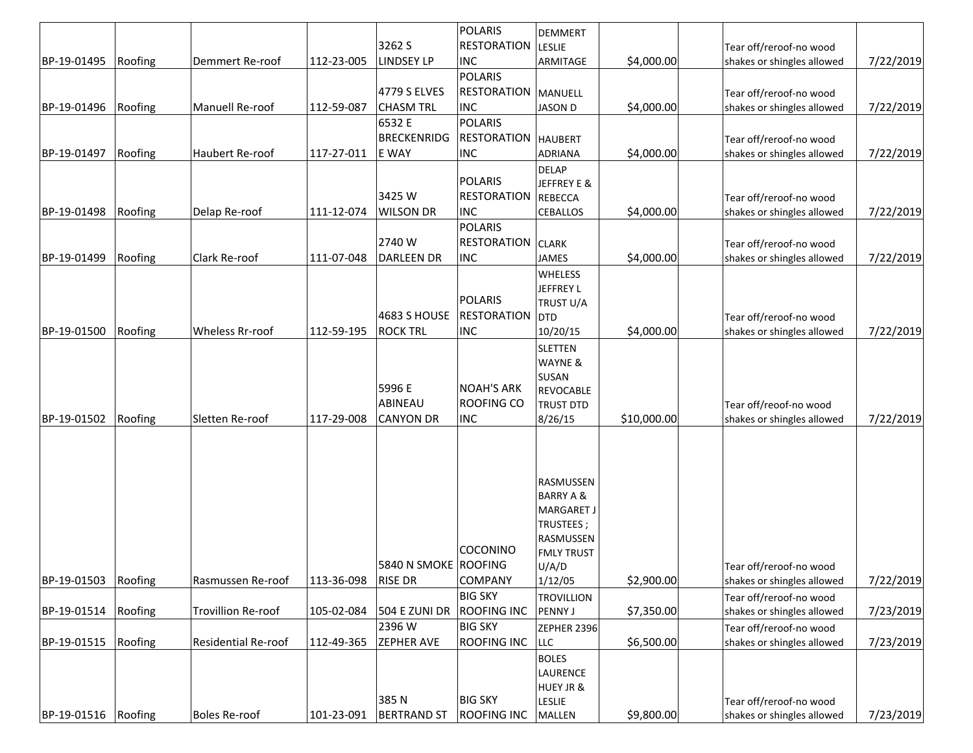|                     |         |                            |            |                      | <b>POLARIS</b>               | <b>DEMMERT</b>              |             |                                                       |           |
|---------------------|---------|----------------------------|------------|----------------------|------------------------------|-----------------------------|-------------|-------------------------------------------------------|-----------|
|                     |         |                            |            | 3262 S               | <b>RESTORATION LESLIE</b>    |                             |             | Tear off/reroof-no wood                               |           |
| BP-19-01495         | Roofing | Demmert Re-roof            | 112-23-005 | <b>LINDSEY LP</b>    | <b>INC</b><br>POLARIS        | ARMITAGE                    | \$4,000.00  | shakes or shingles allowed                            | 7/22/2019 |
|                     |         |                            |            | 4779 S ELVES         | <b>RESTORATION MANUELL</b>   |                             |             |                                                       |           |
| BP-19-01496         | Roofing | Manuell Re-roof            | 112-59-087 | <b>CHASM TRL</b>     | <b>INC</b>                   | <b>JASON D</b>              | \$4,000.00  | Tear off/reroof-no wood<br>shakes or shingles allowed | 7/22/2019 |
|                     |         |                            |            | 6532 E               | POLARIS                      |                             |             |                                                       |           |
|                     |         |                            |            | BRECKENRIDG          | <b>RESTORATION   HAUBERT</b> |                             |             |                                                       |           |
| BP-19-01497         | Roofing | Haubert Re-roof            | 117-27-011 | E WAY                | <b>INC</b>                   | <b>ADRIANA</b>              | \$4,000.00  | Tear off/reroof-no wood<br>shakes or shingles allowed | 7/22/2019 |
|                     |         |                            |            |                      |                              | <b>DELAP</b>                |             |                                                       |           |
|                     |         |                            |            |                      | POLARIS                      | JEFFREY E &                 |             |                                                       |           |
|                     |         |                            |            | 3425 W               | <b>RESTORATION REBECCA</b>   |                             |             | Tear off/reroof-no wood                               |           |
| BP-19-01498         | Roofing | Delap Re-roof              | 111-12-074 | <b>WILSON DR</b>     | <b>INC</b>                   | <b>CEBALLOS</b>             | \$4,000.00  | shakes or shingles allowed                            | 7/22/2019 |
|                     |         |                            |            |                      | POLARIS                      |                             |             |                                                       |           |
|                     |         |                            |            | 2740W                | <b>RESTORATION CLARK</b>     |                             |             | Tear off/reroof-no wood                               |           |
| BP-19-01499         | Roofing | Clark Re-roof              | 111-07-048 | DARLEEN DR           | <b>INC</b>                   | JAMES                       | \$4,000.00  | shakes or shingles allowed                            | 7/22/2019 |
|                     |         |                            |            |                      |                              | WHELESS                     |             |                                                       |           |
|                     |         |                            |            |                      |                              | <b>JEFFREY L</b>            |             |                                                       |           |
|                     |         |                            |            |                      | POLARIS                      | TRUST U/A                   |             |                                                       |           |
|                     |         |                            |            | 4683 S HOUSE         | RESTORATION OTD              |                             |             | Tear off/reroof-no wood                               |           |
| BP-19-01500         | Roofing | <b>Wheless Rr-roof</b>     | 112-59-195 | <b>ROCK TRL</b>      | <b>INC</b>                   | 10/20/15                    | \$4,000.00  | shakes or shingles allowed                            | 7/22/2019 |
|                     |         |                            |            |                      |                              | <b>SLETTEN</b>              |             |                                                       |           |
|                     |         |                            |            |                      |                              | WAYNE &                     |             |                                                       |           |
|                     |         |                            |            | 5996 E               | <b>NOAH'S ARK</b>            | SUSAN                       |             |                                                       |           |
|                     |         |                            |            | ABINEAU              | <b>ROOFING CO</b>            | <b>REVOCABLE</b>            |             |                                                       |           |
| BP-19-01502         | Roofing | Sletten Re-roof            | 117-29-008 | <b>CANYON DR</b>     | <b>INC</b>                   | <b>TRUST DTD</b><br>8/26/15 | \$10,000.00 | Tear off/reoof-no wood<br>shakes or shingles allowed  | 7/22/2019 |
|                     |         |                            |            |                      |                              |                             |             |                                                       |           |
|                     |         |                            |            |                      |                              |                             |             |                                                       |           |
|                     |         |                            |            |                      |                              |                             |             |                                                       |           |
|                     |         |                            |            |                      |                              | <b>RASMUSSEN</b>            |             |                                                       |           |
|                     |         |                            |            |                      |                              | <b>BARRY A &amp;</b>        |             |                                                       |           |
|                     |         |                            |            |                      |                              | <b>MARGARET J</b>           |             |                                                       |           |
|                     |         |                            |            |                      |                              | TRUSTEES;                   |             |                                                       |           |
|                     |         |                            |            |                      |                              | RASMUSSEN                   |             |                                                       |           |
|                     |         |                            |            |                      | COCONINO                     | <b>FMLY TRUST</b>           |             |                                                       |           |
|                     |         |                            |            | 5840 N SMOKE ROOFING |                              | U/A/D                       |             | Tear off/reroof-no wood                               |           |
| BP-19-01503         | Roofing | Rasmussen Re-roof          | 113-36-098 | <b>RISE DR</b>       | <b>COMPANY</b>               | 1/12/05                     | \$2,900.00  | shakes or shingles allowed                            | 7/22/2019 |
|                     |         |                            |            |                      | <b>BIG SKY</b>               | <b>TROVILLION</b>           |             | Tear off/reroof-no wood                               |           |
| BP-19-01514         | Roofing | Trovillion Re-roof         | 105-02-084 | 504 E ZUNI DR        | <b>ROOFING INC</b>           | PENNY J                     | \$7,350.00  | shakes or shingles allowed                            | 7/23/2019 |
|                     |         |                            |            | 2396W                | <b>BIG SKY</b>               | ZEPHER 2396                 |             | Tear off/reroof-no wood                               |           |
| BP-19-01515         | Roofing | <b>Residential Re-roof</b> | 112-49-365 | <b>ZEPHER AVE</b>    | <b>ROOFING INC</b>           | LLC                         | \$6,500.00  | shakes or shingles allowed                            | 7/23/2019 |
|                     |         |                            |            |                      |                              | <b>BOLES</b>                |             |                                                       |           |
|                     |         |                            |            |                      |                              | LAURENCE                    |             |                                                       |           |
|                     |         |                            |            | 385N                 | <b>BIG SKY</b>               | <b>HUEY JR &amp;</b>        |             |                                                       |           |
| BP-19-01516 Roofing |         | <b>Boles Re-roof</b>       | 101-23-091 | <b>BERTRAND ST</b>   | <b>ROOFING INC</b>           | LESLIE<br><b>MALLEN</b>     | \$9,800.00  | Tear off/reroof-no wood<br>shakes or shingles allowed | 7/23/2019 |
|                     |         |                            |            |                      |                              |                             |             |                                                       |           |